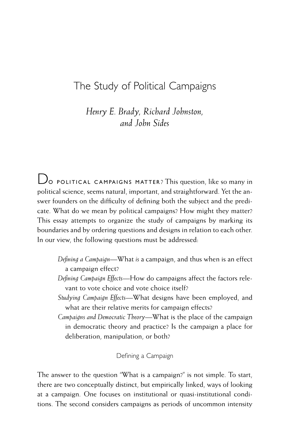# The Study of Political Campaigns

*Henry E. Brady, Richard Johnston, and John Sides*

 $\square$ <sup>o</sup> POLITICAL CAMPAIGNS MATTER? This question, like so many in political science, seems natural, important, and straightforward. Yet the answer founders on the difficulty of defining both the subject and the predicate. What do we mean by political campaigns? How might they matter? This essay attempts to organize the study of campaigns by marking its boundaries and by ordering questions and designs in relation to each other. In our view, the following questions must be addressed:

*Defining a Campaign*—What *is* a campaign, and thus when is an effect a campaign effect?

*Defining Campaign Effects*—How do campaigns affect the factors relevant to vote choice and vote choice itself?

*Studying Campaign Effects*—What designs have been employed, and what are their relative merits for campaign effects?

*Campaigns and Democratic Theory*—What is the place of the campaign in democratic theory and practice? Is the campaign a place for deliberation, manipulation, or both?

Defining a Campaign

The answer to the question "What is a campaign?" is not simple. To start, there are two conceptually distinct, but empirically linked, ways of looking at a campaign. One focuses on institutional or quasi-institutional conditions. The second considers campaigns as periods of uncommon intensity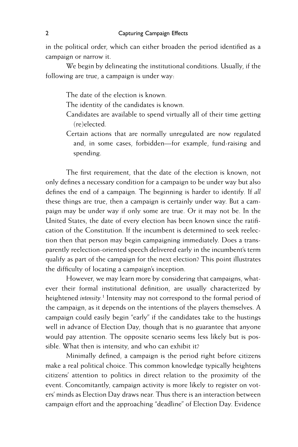in the political order, which can either broaden the period identified as a campaign or narrow it.

We begin by delineating the institutional conditions. Usually, if the following are true, a campaign is under way:

The date of the election is known.

The identity of the candidates is known.

- Candidates are available to spend virtually all of their time getting (re)elected.
- Certain actions that are normally unregulated are now regulated and, in some cases, forbidden—for example, fund-raising and spending.

The first requirement, that the date of the election is known, not only defines a necessary condition for a campaign to be under way but also defines the end of a campaign. The beginning is harder to identify. If all these things are true, then a campaign is certainly under way. But a campaign may be under way if only some are true. Or it may not be. In the United States, the date of every election has been known since the ratification of the Constitution. If the incumbent is determined to seek reelection then that person may begin campaigning immediately. Does a transparently reelection-oriented speech delivered early in the incumbent's term qualify as part of the campaign for the next election? This point illustrates the difficulty of locating a campaign's inception.

However, we may learn more by considering that campaigns, whatever their formal institutional definition, are usually characterized by heightened *intensity.*<sup>1</sup> Intensity may not correspond to the formal period of the campaign, as it depends on the intentions of the players themselves. A campaign could easily begin "early" if the candidates take to the hustings well in advance of Election Day, though that is no guarantee that anyone would pay attention. The opposite scenario seems less likely but is possible. What then is intensity, and who can exhibit it?

Minimally defined, a campaign is the period right before citizens make a real political choice. This common knowledge typically heightens citizens' attention to politics in direct relation to the proximity of the event. Concomitantly, campaign activity is more likely to register on voters' minds as Election Day draws near. Thus there is an interaction between campaign effort and the approaching "deadline" of Election Day. Evidence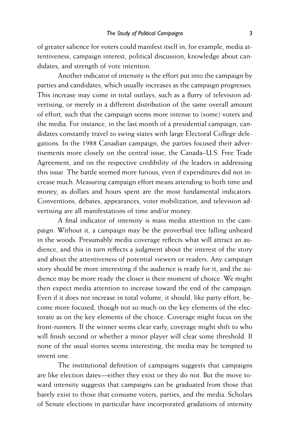of greater salience for voters could manifest itself in, for example, media attentiveness, campaign interest, political discussion, knowledge about candidates, and strength of vote intention.

Another indicator of intensity is the effort put into the campaign by parties and candidates, which usually increases as the campaign progresses. This increase may come in total outlays, such as a flurry of television advertising, or merely in a different distribution of the same overall amount of effort, such that the campaign seems more intense to (some) voters and the media. For instance, in the last month of a presidential campaign, candidates constantly travel to swing states with large Electoral College delegations. In the 1988 Canadian campaign, the parties focused their advertisements more closely on the central issue, the Canada–U.S. Free Trade Agreement, and on the respective credibility of the leaders in addressing this issue. The battle seemed more furious, even if expenditures did not increase much. Measuring campaign effort means attending to both time and money, as dollars and hours spent are the most fundamental indicators. Conventions, debates, appearances, voter mobilization, and television advertising are all manifestations of time and/or money.

A final indicator of intensity is mass media attention to the campaign. Without it, a campaign may be the proverbial tree falling unheard in the woods. Presumably media coverage reflects what will attract an audience, and this in turn reflects a judgment about the interest of the story and about the attentiveness of potential viewers or readers. Any campaign story should be more interesting if the audience is ready for it, and the audience may be more ready the closer is their moment of choice. We might then expect media attention to increase toward the end of the campaign. Even if it does not increase in total volume, it should, like party effort, become more focused, though not so much on the key elements of the electorate as on the key elements of the choice. Coverage might focus on the front-runners. If the winner seems clear early, coverage might shift to who will finish second or whether a minor player will clear some threshold. If none of the usual stories seems interesting, the media may be tempted to invent one.

The institutional definition of campaigns suggests that campaigns are like election dates—either they exist or they do not. But the move toward intensity suggests that campaigns can be graduated from those that barely exist to those that consume voters, parties, and the media. Scholars of Senate elections in particular have incorporated gradations of intensity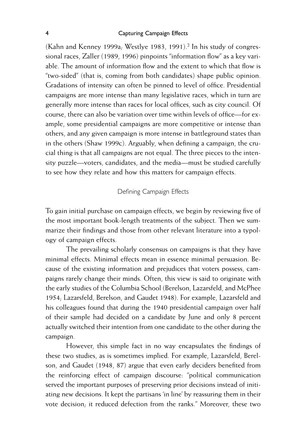(Kahn and Kenney 1999a; Westlye 1983, 1991).2 In his study of congressional races, Zaller (1989, 1996) pinpoints "information flow" as a key variable. The amount of information flow and the extent to which that flow is "two-sided" (that is, coming from both candidates) shape public opinion. Gradations of intensity can often be pinned to level of office. Presidential campaigns are more intense than many legislative races, which in turn are generally more intense than races for local offices, such as city council. Of course, there can also be variation over time within levels of office—for example, some presidential campaigns are more competitive or intense than others, and any given campaign is more intense in battleground states than in the others (Shaw 1999c). Arguably, when defining a campaign, the crucial thing is that all campaigns are not equal. The three pieces to the intensity puzzle—voters, candidates, and the media—must be studied carefully to see how they relate and how this matters for campaign effects.

Defining Campaign Effects

To gain initial purchase on campaign effects, we begin by reviewing five of the most important book-length treatments of the subject. Then we summarize their findings and those from other relevant literature into a typology of campaign effects.

The prevailing scholarly consensus on campaigns is that they have minimal effects. Minimal effects mean in essence minimal persuasion. Because of the existing information and prejudices that voters possess, campaigns rarely change their minds. Often, this view is said to originate with the early studies of the Columbia School (Berelson, Lazarsfeld, and McPhee 1954; Lazarsfeld, Berelson, and Gaudet 1948). For example, Lazarsfeld and his colleagues found that during the 1940 presidential campaign over half of their sample had decided on a candidate by June and only 8 percent actually switched their intention from one candidate to the other during the campaign.

However, this simple fact in no way encapsulates the findings of these two studies, as is sometimes implied. For example, Lazarsfeld, Berelson, and Gaudet (1948, 87) argue that even early deciders benefited from the reinforcing effect of campaign discourse: "political communication served the important purposes of preserving prior decisions instead of initiating new decisions. It kept the partisans 'in line' by reassuring them in their vote decision; it reduced defection from the ranks." Moreover, these two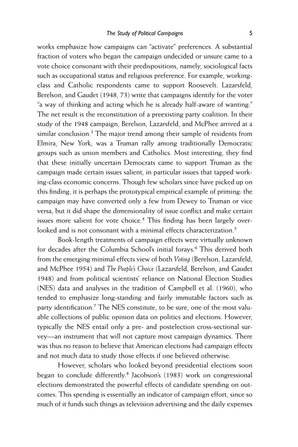works emphasize how campaigns can "activate" preferences. A substantial fraction of voters who began the campaign undecided or unsure came to a vote choice consonant with their predispositions, namely, sociological facts such as occupational status and religious preference. For example, workingclass and Catholic respondents came to support Roosevelt. Lazarsfeld, Berelson, and Gaudet (1948, 73) write that campaigns identify for the voter "a way of thinking and acting which he is already half-aware of wanting." The net result is the reconstitution of a preexisting party coalition. In their study of the 1948 campaign, Berelson, Lazarsfeld, and McPhee arrived at a similar conclusion.<sup>3</sup> The major trend among their sample of residents from Elmira, New York, was a Truman rally among traditionally Democratic groups such as union members and Catholics. Most interesting, they find that these initially uncertain Democrats came to support Truman as the campaign made certain issues salient, in particular issues that tapped working-class economic concerns. Though few scholars since have picked up on this finding, it is perhaps the prototypical empirical example of priming: the campaign may have converted only a few from Dewey to Truman or vice versa, but it did shape the dimensionality of issue conflict and make certain issues more salient for vote choice.<sup>4</sup> This finding has been largely overlooked and is not consonant with a minimal effects characterization.<sup>5</sup>

Book-length treatments of campaign effects were virtually unknown for decades after the Columbia School's initial forays.<sup>6</sup> This derived both from the emerging minimal effects view of both *Voting* (Berelson, Lazarsfeld, and McPhee 1954) and *The People's Choice* (Lazarsfeld, Berelson, and Gaudet 1948) and from political scientists' reliance on National Election Studies (NES) data and analyses in the tradition of Campbell et al. (1960), who tended to emphasize long-standing and fairly immutable factors such as party identification.<sup>7</sup> The NES constitute, to be sure, one of the most valuable collections of public opinion data on politics and elections. However, typically the NES entail only a pre- and postelection cross-sectional survey—an instrument that will not capture most campaign dynamics. There was thus no reason to believe that American elections had campaign effects and not much data to study those effects if one believed otherwise.

However, scholars who looked beyond presidential elections soon began to conclude differently.<sup>8</sup> Jacobson's (1983) work on congressional elections demonstrated the powerful effects of candidate spending on outcomes. This spending is essentially an indicator of campaign effort, since so much of it funds such things as television advertising and the daily expenses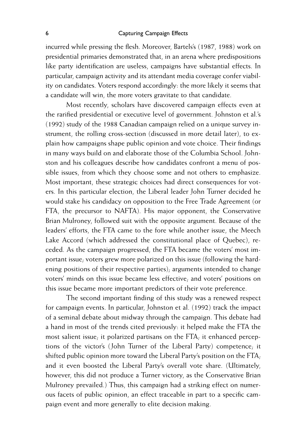incurred while pressing the flesh. Moreover, Bartels's (1987, 1988) work on presidential primaries demonstrated that, in an arena where predispositions like party identification are useless, campaigns have substantial effects. In particular, campaign activity and its attendant media coverage confer viability on candidates. Voters respond accordingly: the more likely it seems that a candidate will win, the more voters gravitate to that candidate.

Most recently, scholars have discovered campaign effects even at the rarified presidential or executive level of government. Johnston et al.'s (1992) study of the 1988 Canadian campaign relied on a unique survey instrument, the rolling cross-section (discussed in more detail later), to explain how campaigns shape public opinion and vote choice. Their findings in many ways build on and elaborate those of the Columbia School. Johnston and his colleagues describe how candidates confront a menu of possible issues, from which they choose some and not others to emphasize. Most important, these strategic choices had direct consequences for voters. In this particular election, the Liberal leader John Turner decided he would stake his candidacy on opposition to the Free Trade Agreement (or FTA, the precursor to NAFTA). His major opponent, the Conservative Brian Mulroney, followed suit with the opposite argument. Because of the leaders' efforts, the FTA came to the fore while another issue, the Meech Lake Accord (which addressed the constitutional place of Quebec), receded. As the campaign progressed, the FTA became the voters' most important issue; voters grew more polarized on this issue (following the hardening positions of their respective parties); arguments intended to change voters' minds on this issue became less effective; and voters' positions on this issue became more important predictors of their vote preference.

The second important finding of this study was a renewed respect for campaign events. In particular, Johnston et al. (1992) track the impact of a seminal debate about midway through the campaign. This debate had a hand in most of the trends cited previously: it helped make the FTA the most salient issue; it polarized partisans on the FTA; it enhanced perceptions of the victor's (John Turner of the Liberal Party) competence; it shifted public opinion more toward the Liberal Party's position on the FTA; and it even boosted the Liberal Party's overall vote share. (Ultimately, however, this did not produce a Turner victory, as the Conservative Brian Mulroney prevailed.) Thus, this campaign had a striking effect on numerous facets of public opinion, an effect traceable in part to a specific campaign event and more generally to elite decision making.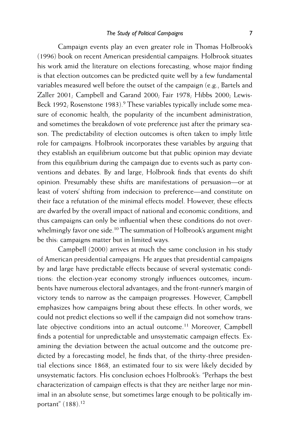Campaign events play an even greater role in Thomas Holbrook's (1996) book on recent American presidential campaigns. Holbrook situates his work amid the literature on elections forecasting, whose major finding is that election outcomes can be predicted quite well by a few fundamental variables measured well before the outset of the campaign (e.g., Bartels and Zaller 2001; Campbell and Garand 2000; Fair 1978; Hibbs 2000; Lewis-Beck 1992; Rosenstone 1983).<sup>9</sup> These variables typically include some measure of economic health, the popularity of the incumbent administration, and sometimes the breakdown of vote preference just after the primary season. The predictability of election outcomes is often taken to imply little role for campaigns. Holbrook incorporates these variables by arguing that they establish an equilibrium outcome but that public opinion may deviate from this equilibrium during the campaign due to events such as party conventions and debates. By and large, Holbrook finds that events do shift opinion. Presumably these shifts are manifestations of persuasion—or at least of voters' shifting from indecision to preference—and constitute on their face a refutation of the minimal effects model. However, these effects are dwarfed by the overall impact of national and economic conditions, and thus campaigns can only be influential when these conditions do not overwhelmingly favor one side.<sup>10</sup> The summation of Holbrook's argument might be this: campaigns matter but in limited ways.

Campbell (2000) arrives at much the same conclusion in his study of American presidential campaigns. He argues that presidential campaigns by and large have predictable effects because of several systematic conditions: the election-year economy strongly influences outcomes; incumbents have numerous electoral advantages; and the front-runner's margin of victory tends to narrow as the campaign progresses. However, Campbell emphasizes how campaigns bring about these effects. In other words, we could not predict elections so well if the campaign did not somehow translate objective conditions into an actual outcome.<sup>11</sup> Moreover, Campbell finds a potential for unpredictable and unsystematic campaign effects. Examining the deviation between the actual outcome and the outcome predicted by a forecasting model, he finds that, of the thirty-three presidential elections since 1868, an estimated four to six were likely decided by unsystematic factors. His conclusion echoes Holbrook's: "Perhaps the best characterization of campaign effects is that they are neither large nor minimal in an absolute sense, but sometimes large enough to be politically important"  $(188)^{12}$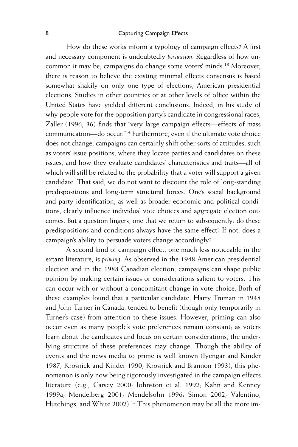How do these works inform a typology of campaign effects? A first and necessary component is undoubtedly *persuasion.* Regardless of how uncommon it may be, campaigns do change some voters' minds.13 Moreover, there is reason to believe the existing minimal effects consensus is based somewhat shakily on only one type of elections, American presidential elections. Studies in other countries or at other levels of office within the United States have yielded different conclusions. Indeed, in his study of why people vote for the opposition party's candidate in congressional races, Zaller (1996, 36) finds that "very large campaign effects—effects of mass communication—do occur."14 Furthermore, even if the ultimate vote choice does not change, campaigns can certainly shift other sorts of attitudes, such as voters' issue positions, where they locate parties and candidates on these issues, and how they evaluate candidates' characteristics and traits—all of which will still be related to the probability that a voter will support a given candidate. That said, we do not want to discount the role of long-standing predispositions and long-term structural forces. One's social background and party identification, as well as broader economic and political conditions, clearly influence individual vote choices and aggregate election outcomes. But a question lingers, one that we return to subsequently: do these predispositions and conditions always have the same effect? If not, does a campaign's ability to persuade voters change accordingly?

A second kind of campaign effect, one much less noticeable in the extant literature, is *priming.* As observed in the 1948 American presidential election and in the 1988 Canadian election, campaigns can shape public opinion by making certain issues or considerations salient to voters. This can occur with or without a concomitant change in vote choice. Both of these examples found that a particular candidate, Harry Truman in 1948 and John Turner in Canada, tended to benefit (though only temporarily in Turner's case) from attention to these issues. However, priming can also occur even as many people's vote preferences remain constant; as voters learn about the candidates and focus on certain considerations, the underlying structure of these preferences may change. Though the ability of events and the news media to prime is well known (Iyengar and Kinder 1987; Krosnick and Kinder 1990; Krosnick and Brannon 1993), this phenomenon is only now being rigorously investigated in the campaign effects literature (e.g., Carsey 2000; Johnston et al. 1992; Kahn and Kenney 1999a; Mendelberg 2001; Mendelsohn 1996; Simon 2002; Valentino, Hutchings, and White 2002).<sup>15</sup> This phenomenon may be all the more im-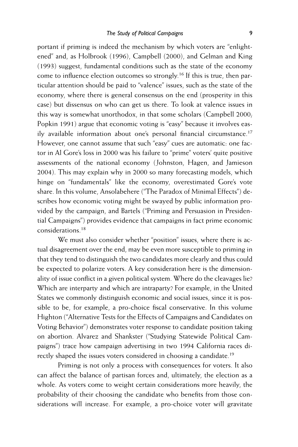portant if priming is indeed the mechanism by which voters are "enlightened" and, as Holbrook (1996), Campbell (2000), and Gelman and King (1993) suggest, fundamental conditions such as the state of the economy come to influence election outcomes so strongly.<sup>16</sup> If this is true, then particular attention should be paid to "valence" issues, such as the state of the economy, where there is general consensus on the end (prosperity in this case) but dissensus on who can get us there. To look at valence issues in this way is somewhat unorthodox, in that some scholars (Campbell 2000; Popkin 1991) argue that economic voting is "easy" because it involves easily available information about one's personal financial circumstance.<sup>17</sup> However, one cannot assume that such "easy" cues are automatic: one factor in Al Gore's loss in 2000 was his failure to "prime" voters' quite positive assessments of the national economy (Johnston, Hagen, and Jamieson 2004). This may explain why in 2000 so many forecasting models, which hinge on "fundamentals" like the economy, overestimated Gore's vote share. In this volume, Ansolabehere ("The Paradox of Minimal Effects") describes how economic voting might be swayed by public information provided by the campaign, and Bartels ("Priming and Persuasion in Presidential Campaigns") provides evidence that campaigns in fact prime economic considerations.18

We must also consider whether "position" issues, where there is actual disagreement over the end, may be even more susceptible to priming in that they tend to distinguish the two candidates more clearly and thus could be expected to polarize voters. A key consideration here is the dimensionality of issue conflict in a given political system. Where do the cleavages lie? Which are interparty and which are intraparty? For example, in the United States we commonly distinguish economic and social issues, since it is possible to be, for example, a pro-choice fiscal conservative. In this volume Highton ("Alternative Tests for the Effects of Campaigns and Candidates on Voting Behavior") demonstrates voter response to candidate position taking on abortion. Alvarez and Shankster ("Studying Statewide Political Campaigns") trace how campaign advertising in two 1994 California races directly shaped the issues voters considered in choosing a candidate.<sup>19</sup>

Priming is not only a process with consequences for voters. It also can affect the balance of partisan forces and, ultimately, the election as a whole. As voters come to weight certain considerations more heavily, the probability of their choosing the candidate who benefits from those considerations will increase. For example, a pro-choice voter will gravitate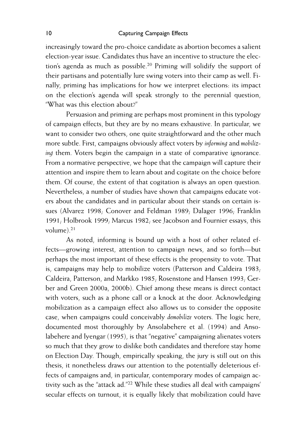increasingly toward the pro-choice candidate as abortion becomes a salient election-year issue. Candidates thus have an incentive to structure the election's agenda as much as possible.<sup>20</sup> Priming will solidify the support of their partisans and potentially lure swing voters into their camp as well. Finally, priming has implications for how we interpret elections: its impact on the election's agenda will speak strongly to the perennial question, "What was this election about?"

Persuasion and priming are perhaps most prominent in this typology of campaign effects, but they are by no means exhaustive. In particular, we want to consider two others, one quite straightforward and the other much more subtle. First, campaigns obviously affect voters by *informing* and *mobilizing* them. Voters begin the campaign in a state of comparative ignorance. From a normative perspective, we hope that the campaign will capture their attention and inspire them to learn about and cogitate on the choice before them. Of course, the extent of that cogitation is always an open question. Nevertheless, a number of studies have shown that campaigns educate voters about the candidates and in particular about their stands on certain issues (Alvarez 1998; Conover and Feldman 1989; Dalager 1996; Franklin 1991; Holbrook 1999; Marcus 1982; see Jacobson and Fournier essays, this volume).<sup>21</sup>

As noted, informing is bound up with a host of other related effects—growing interest, attention to campaign news, and so forth—but perhaps the most important of these effects is the propensity to vote. That is, campaigns may help to mobilize voters (Patterson and Caldeira 1983; Caldeira, Patterson, and Markko 1985; Rosenstone and Hansen 1993; Gerber and Green 2000a, 2000b). Chief among these means is direct contact with voters, such as a phone call or a knock at the door. Acknowledging mobilization as a campaign effect also allows us to consider the opposite case, when campaigns could conceivably *demobilize* voters. The logic here, documented most thoroughly by Ansolabehere et al. (1994) and Ansolabehere and Iyengar (1995), is that "negative" campaigning alienates voters so much that they grow to dislike both candidates and therefore stay home on Election Day. Though, empirically speaking, the jury is still out on this thesis, it nonetheless draws our attention to the potentially deleterious effects of campaigns and, in particular, contemporary modes of campaign activity such as the "attack ad."22 While these studies all deal with campaigns' secular effects on turnout, it is equally likely that mobilization could have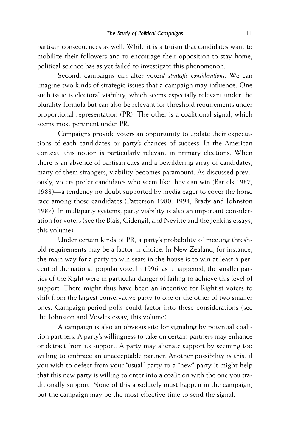partisan consequences as well. While it is a truism that candidates want to mobilize their followers and to encourage their opposition to stay home, political science has as yet failed to investigate this phenomenon.

Second, campaigns can alter voters' *strategic considerations.* We can imagine two kinds of strategic issues that a campaign may influence. One such issue is electoral viability, which seems especially relevant under the plurality formula but can also be relevant for threshold requirements under proportional representation (PR). The other is a coalitional signal, which seems most pertinent under PR.

Campaigns provide voters an opportunity to update their expectations of each candidate's or party's chances of success. In the American context, this notion is particularly relevant in primary elections. When there is an absence of partisan cues and a bewildering array of candidates, many of them strangers, viability becomes paramount. As discussed previously, voters prefer candidates who seem like they can win (Bartels 1987, 1988)—a tendency no doubt supported by media eager to cover the horse race among these candidates (Patterson 1980, 1994; Brady and Johnston 1987). In multiparty systems, party viability is also an important consideration for voters (see the Blais, Gidengil, and Nevitte and the Jenkins essays, this volume).

Under certain kinds of PR, a party's probability of meeting threshold requirements may be a factor in choice. In New Zealand, for instance, the main way for a party to win seats in the house is to win at least 5 percent of the national popular vote. In 1996, as it happened, the smaller parties of the Right were in particular danger of failing to achieve this level of support. There might thus have been an incentive for Rightist voters to shift from the largest conservative party to one or the other of two smaller ones. Campaign-period polls could factor into these considerations (see the Johnston and Vowles essay, this volume).

A campaign is also an obvious site for signaling by potential coalition partners. A party's willingness to take on certain partners may enhance or detract from its support. A party may alienate support by seeming too willing to embrace an unacceptable partner. Another possibility is this: if you wish to defect from your "usual" party to a "new" party it might help that this new party is willing to enter into a coalition with the one you traditionally support. None of this absolutely must happen in the campaign, but the campaign may be the most effective time to send the signal.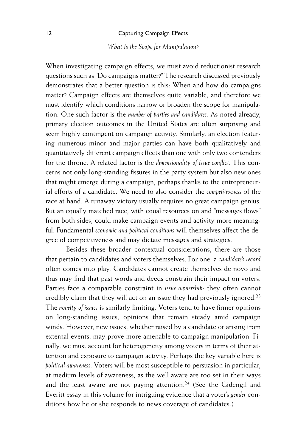## *What Is the Scope for Manipulation?*

When investigating campaign effects, we must avoid reductionist research questions such as "Do campaigns matter?" The research discussed previously demonstrates that a better question is this: When and how do campaigns matter? Campaign effects are themselves quite variable, and therefore we must identify which conditions narrow or broaden the scope for manipulation. One such factor is the *number of parties and candidates.* As noted already, primary election outcomes in the United States are often surprising and seem highly contingent on campaign activity. Similarly, an election featuring numerous minor and major parties can have both qualitatively and quantitatively different campaign effects than one with only two contenders for the throne. A related factor is the *dimensionality of issue conflict*. This concerns not only long-standing fissures in the party system but also new ones that might emerge during a campaign, perhaps thanks to the entrepreneurial efforts of a candidate. We need to also consider the *competitiveness* of the race at hand. A runaway victory usually requires no great campaign genius. But an equally matched race, with equal resources on and "messages flows" from both sides, could make campaign events and activity more meaningful. Fundamental *economic and political conditions* will themselves affect the degree of competitiveness and may dictate messages and strategies.

Besides these broader contextual considerations, there are those that pertain to candidates and voters themselves. For one, a *candidate's record* often comes into play. Candidates cannot create themselves de novo and thus may find that past words and deeds constrain their impact on voters. Parties face a comparable constraint in *issue ownership:* they often cannot credibly claim that they will act on an issue they had previously ignored.<sup>23</sup> The *novelty of issues* is similarly limiting. Voters tend to have firmer opinions on long-standing issues, opinions that remain steady amid campaign winds. However, new issues, whether raised by a candidate or arising from external events, may prove more amenable to campaign manipulation. Finally, we must account for heterogeneity among voters in terms of their attention and exposure to campaign activity. Perhaps the key variable here is *political awareness.* Voters will be most susceptible to persuasion in particular, at medium levels of awareness, as the well aware are too set in their ways and the least aware are not paying attention.<sup>24</sup> (See the Gidengil and Everitt essay in this volume for intriguing evidence that a voter's *gender* conditions how he or she responds to news coverage of candidates.)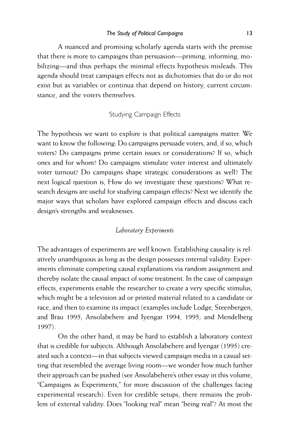A nuanced and promising scholarly agenda starts with the premise that there is more to campaigns than persuasion—priming, informing, mobilizing—and thus perhaps the minimal effects hypothesis misleads. This agenda should treat campaign effects not as dichotomies that do or do not exist but as variables or continua that depend on history, current circumstance, and the voters themselves.

## Studying Campaign Effects

The hypothesis we want to explore is that political campaigns matter. We want to know the following: Do campaigns persuade voters, and, if so, which voters? Do campaigns prime certain issues or considerations? If so, which ones and for whom? Do campaigns stimulate voter interest and ultimately voter turnout? Do campaigns shape strategic considerations as well? The next logical question is, How do we investigate these questions? What research designs are useful for studying campaign effects? Next we identify the major ways that scholars have explored campaign effects and discuss each design's strengths and weaknesses.

### *Laboratory Experiments*

The advantages of experiments are well known. Establishing causality is relatively unambiguous as long as the design possesses internal validity. Experiments eliminate competing causal explanations via random assignment and thereby isolate the causal impact of some treatment. In the case of campaign effects, experiments enable the researcher to create a very specific stimulus, which might be a television ad or printed material related to a candidate or race, and then to examine its impact (examples include Lodge, Steenbergen, and Brau 1995; Ansolabehere and Iyengar 1994, 1995; and Mendelberg 1997).

On the other hand, it may be hard to establish a laboratory context that is credible for subjects. Although Ansolabehere and Iyengar (1995) created such a context—in that subjects viewed campaign media in a casual setting that resembled the average living room—we wonder how much further their approach can be pushed (see Ansolabehere's other essay in this volume, "Campaigns as Experiments," for more discussion of the challenges facing experimental research). Even for credible setups, there remains the problem of external validity. Does "looking real" mean "being real"? At most the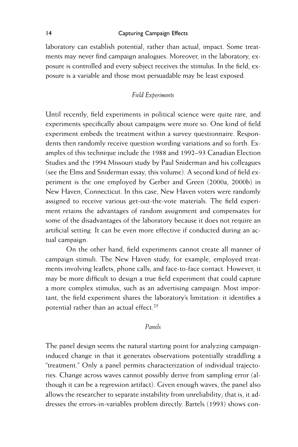laboratory can establish potential, rather than actual, impact. Some treatments may never find campaign analogues. Moreover, in the laboratory, exposure is controlled and every subject receives the stimulus. In the field, exposure is a variable and those most persuadable may be least exposed.

# *Field Experiments*

Until recently, field experiments in political science were quite rare, and experiments specifically about campaigns were more so. One kind of field experiment embeds the treatment within a survey questionnaire. Respondents then randomly receive question wording variations and so forth. Examples of this technique include the 1988 and 1992–93 Canadian Election Studies and the 1994 Missouri study by Paul Sniderman and his colleagues (see the Elms and Sniderman essay, this volume). A second kind of field experiment is the one employed by Gerber and Green (2000a, 2000b) in New Haven, Connecticut. In this case, New Haven voters were randomly assigned to receive various get-out-the-vote materials. The field experiment retains the advantages of random assignment and compensates for some of the disadvantages of the laboratory because it does not require an artificial setting. It can be even more effective if conducted during an actual campaign.

On the other hand, field experiments cannot create all manner of campaign stimuli. The New Haven study, for example, employed treatments involving leaflets, phone calls, and face-to-face contact. However, it may be more difficult to design a true field experiment that could capture a more complex stimulus, such as an advertising campaign. Most important, the field experiment shares the laboratory's limitation: it identifies a potential rather than an actual effect.25

# *Panels*

The panel design seems the natural starting point for analyzing campaigninduced change in that it generates observations potentially straddling a "treatment." Only a panel permits characterization of individual trajectories. Change across waves cannot possibly derive from sampling error (although it can be a regression artifact). Given enough waves, the panel also allows the researcher to separate instability from unreliability; that is, it addresses the errors-in-variables problem directly. Bartels (1993) shows con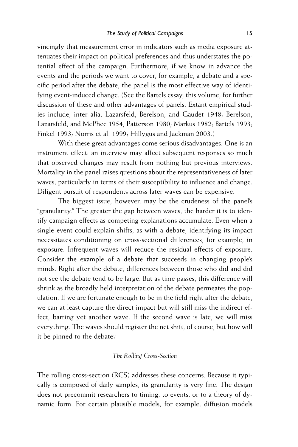vincingly that measurement error in indicators such as media exposure attenuates their impact on political preferences and thus understates the potential effect of the campaign. Furthermore, if we know in advance the events and the periods we want to cover, for example, a debate and a specific period after the debate, the panel is the most effective way of identifying event-induced change. (See the Bartels essay, this volume, for further discussion of these and other advantages of panels. Extant empirical studies include, inter alia, Lazarsfeld, Berelson, and Gaudet 1948; Berelson, Lazarsfeld, and McPhee 1954; Patterson 1980; Markus 1982; Bartels 1993; Finkel 1993; Norris et al. 1999; Hillygus and Jackman 2003.)

With these great advantages come serious disadvantages. One is an instrument effect: an interview may affect subsequent responses so much that observed changes may result from nothing but previous interviews. Mortality in the panel raises questions about the representativeness of later waves, particularly in terms of their susceptibility to influence and change. Diligent pursuit of respondents across later waves can be expensive.

The biggest issue, however, may be the crudeness of the panel's "granularity." The greater the gap between waves, the harder it is to identify campaign effects as competing explanations accumulate. Even when a single event could explain shifts, as with a debate, identifying its impact necessitates conditioning on cross-sectional differences, for example, in exposure. Infrequent waves will reduce the residual effects of exposure. Consider the example of a debate that succeeds in changing people's minds. Right after the debate, differences between those who did and did not see the debate tend to be large. But as time passes, this difference will shrink as the broadly held interpretation of the debate permeates the population. If we are fortunate enough to be in the field right after the debate, we can at least capture the direct impact but will still miss the indirect effect, barring yet another wave. If the second wave is late, we will miss everything. The waves should register the net shift, of course, but how will it be pinned to the debate?

# *The Rolling Cross-Section*

The rolling cross-section (RCS) addresses these concerns. Because it typically is composed of daily samples, its granularity is very fine. The design does not precommit researchers to timing, to events, or to a theory of dynamic form. For certain plausible models, for example, diffusion models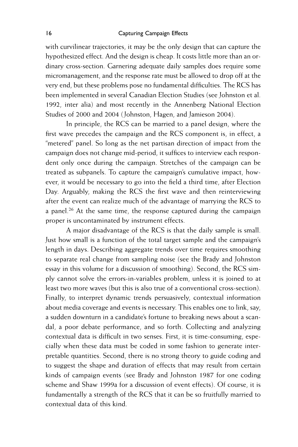with curvilinear trajectories, it may be the only design that can capture the hypothesized effect. And the design is cheap. It costs little more than an ordinary cross-section. Garnering adequate daily samples does require some micromanagement, and the response rate must be allowed to drop off at the very end, but these problems pose no fundamental difficulties. The RCS has been implemented in several Canadian Election Studies (see Johnston et al. 1992, inter alia) and most recently in the Annenberg National Election Studies of 2000 and 2004 (Johnston, Hagen, and Jamieson 2004).

In principle, the RCS can be married to a panel design, where the first wave precedes the campaign and the RCS component is, in effect, a "metered" panel. So long as the net partisan direction of impact from the campaign does not change mid-period, it suffices to interview each respondent only once during the campaign. Stretches of the campaign can be treated as subpanels. To capture the campaign's cumulative impact, however, it would be necessary to go into the field a third time, after Election Day. Arguably, making the RCS the first wave and then reinterviewing after the event can realize much of the advantage of marrying the RCS to a panel.<sup>26</sup> At the same time, the response captured during the campaign proper is uncontaminated by instrument effects.

A major disadvantage of the RCS is that the daily sample is small. Just how small is a function of the total target sample and the campaign's length in days. Describing aggregate trends over time requires smoothing to separate real change from sampling noise (see the Brady and Johnston essay in this volume for a discussion of smoothing). Second, the RCS simply cannot solve the errors-in-variables problem, unless it is joined to at least two more waves (but this is also true of a conventional cross-section). Finally, to interpret dynamic trends persuasively, contextual information about media coverage and events is necessary. This enables one to link, say, a sudden downturn in a candidate's fortune to breaking news about a scandal, a poor debate performance, and so forth. Collecting and analyzing contextual data is difficult in two senses. First, it is time-consuming, especially when these data must be coded in some fashion to generate interpretable quantities. Second, there is no strong theory to guide coding and to suggest the shape and duration of effects that may result from certain kinds of campaign events (see Brady and Johnston 1987 for one coding scheme and Shaw 1999a for a discussion of event effects). Of course, it is fundamentally a strength of the RCS that it can be so fruitfully married to contextual data of this kind.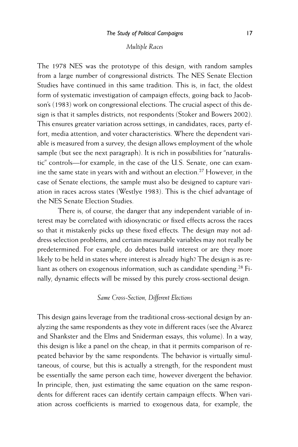# *Multiple Races*

The 1978 NES was the prototype of this design, with random samples from a large number of congressional districts. The NES Senate Election Studies have continued in this same tradition. This is, in fact, the oldest form of systematic investigation of campaign effects, going back to Jacobson's (1983) work on congressional elections. The crucial aspect of this design is that it samples districts, not respondents (Stoker and Bowers 2002). This ensures greater variation across settings, in candidates, races, party effort, media attention, and voter characteristics. Where the dependent variable is measured from a survey, the design allows employment of the whole sample (but see the next paragraph). It is rich in possibilities for "naturalistic" controls—for example, in the case of the U.S. Senate, one can examine the same state in years with and without an election.<sup>27</sup> However, in the case of Senate elections, the sample must also be designed to capture variation in races across states (Westlye 1983). This is the chief advantage of the NES Senate Election Studies.

There is, of course, the danger that any independent variable of interest may be correlated with idiosyncratic or fixed effects across the races so that it mistakenly picks up these fixed effects. The design may not address selection problems, and certain measurable variables may not really be predetermined. For example, do debates build interest or are they more likely to be held in states where interest is already high? The design is as reliant as others on exogenous information, such as candidate spending.28 Finally, dynamic effects will be missed by this purely cross-sectional design.

### *Same Cross-Section, Different Elections*

This design gains leverage from the traditional cross-sectional design by analyzing the same respondents as they vote in different races (see the Alvarez and Shankster and the Elms and Sniderman essays, this volume). In a way, this design is like a panel on the cheap, in that it permits comparison of repeated behavior by the same respondents. The behavior is virtually simultaneous, of course, but this is actually a strength, for the respondent must be essentially the same person each time, however divergent the behavior. In principle, then, just estimating the same equation on the same respondents for different races can identify certain campaign effects. When variation across coefficients is married to exogenous data, for example, the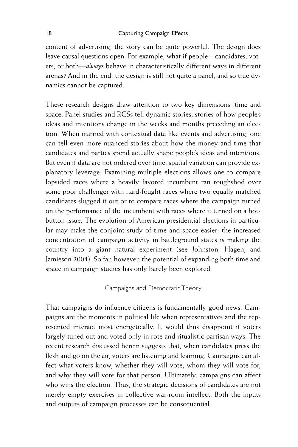content of advertising, the story can be quite powerful. The design does leave causal questions open. For example, what if people—candidates, voters, or both*—always* behave in characteristically different ways in different arenas? And in the end, the design is still not quite a panel, and so true dynamics cannot be captured.

These research designs draw attention to two key dimensions: time and space. Panel studies and RCSs tell dynamic stories, stories of how people's ideas and intentions change in the weeks and months preceding an election. When married with contextual data like events and advertising, one can tell even more nuanced stories about how the money and time that candidates and parties spend actually shape people's ideas and intentions. But even if data are not ordered over time, spatial variation can provide explanatory leverage. Examining multiple elections allows one to compare lopsided races where a heavily favored incumbent ran roughshod over some poor challenger with hard-fought races where two equally matched candidates slugged it out or to compare races where the campaign turned on the performance of the incumbent with races where it turned on a hotbutton issue. The evolution of American presidential elections in particular may make the conjoint study of time and space easier: the increased concentration of campaign activity in battleground states is making the country into a giant natural experiment (see Johnston, Hagen, and Jamieson 2004). So far, however, the potential of expanding both time and space in campaign studies has only barely been explored.

### Campaigns and Democratic Theory

That campaigns do influence citizens is fundamentally good news. Campaigns are the moments in political life when representatives and the represented interact most energetically. It would thus disappoint if voters largely tuned out and voted only in rote and ritualistic partisan ways. The recent research discussed herein suggests that, when candidates press the flesh and go on the air, voters are listening and learning. Campaigns can affect what voters know, whether they will vote, whom they will vote for, and why they will vote for that person. Ultimately, campaigns can affect who wins the election. Thus, the strategic decisions of candidates are not merely empty exercises in collective war-room intellect. Both the inputs and outputs of campaign processes can be consequential.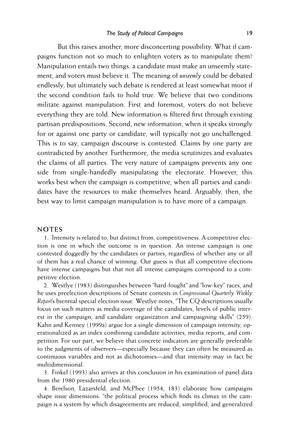But this raises another, more disconcerting possibility. What if campaigns function not so much to enlighten voters as to manipulate them? Manipulation entails two things: a candidate must make an unseemly statement, and voters must believe it. The meaning of *unseemly* could be debated endlessly, but ultimately such debate is rendered at least somewhat moot if the second condition fails to hold true. We believe that two conditions militate against manipulation. First and foremost, voters do not believe everything they are told. New information is filtered first through existing partisan predispositions. Second, new information, when it speaks strongly for or against one party or candidate, will typically not go unchallenged. This is to say, campaign discourse is contested. Claims by one party are contradicted by another. Furthermore, the media scrutinizes and evaluates the claims of all parties. The very nature of campaigns prevents any one side from single-handedly manipulating the electorate. However, this works best when the campaign is competitive, when all parties and candidates have the resources to make themselves heard. Arguably, then, the best way to limit campaign manipulation is to have more of a campaign.

### **NOTES**

1. Intensity is related to, but distinct from, competitiveness. A competitive election is one in which the outcome is in question. An intense campaign is one contested doggedly by the candidates or parties, regardless of whether any or all of them has a real chance of winning. Our guess is that all competitive elections have intense campaigns but that not all intense campaigns correspond to a competitive election.

2. Westlye (1983) distinguishes between "hard-fought" and "low-key" races, and he uses preelection descriptions of Senate contests in *Congressional Quarterly Weekly Report*'s biennial special election issue. Westlye notes, "The CQ descriptions usually focus on such matters as media coverage of the candidates, levels of public interest in the campaign, and candidate organization and campaigning skills" (259). Kahn and Kenney (1999a) argue for a single dimension of campaign intensity, operationalized as an index combining candidate activities, media reports, and competition. For our part, we believe that concrete indicators are generally preferable to the judgments of observers—especially because they can often be measured as continuous variables and not as dichotomies—and that intensity may in fact be multidimensional.

3. Finkel (1993) also arrives at this conclusion in his examination of panel data from the 1980 presidential election.

4. Berelson, Lazarsfeld, and McPhee (1954, 183) elaborate how campaigns shape issue dimensions: "the political process which finds its climax in the campaign is a system by which disagreements are reduced, simplified, and generalized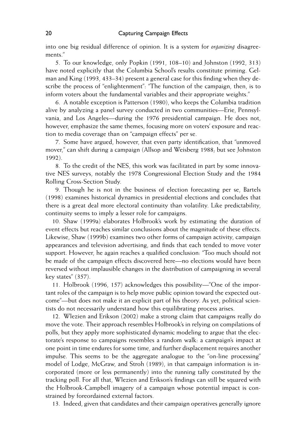into one big residual difference of opinion. It is a system for *organizing* disagreements."

5. To our knowledge, only Popkin (1991, 108–10) and Johnston (1992, 313) have noted explicitly that the Columbia School's results constitute priming. Gelman and King  $(1993, 433-34)$  present a general case for this finding when they describe the process of "enlightenment": "The function of the campaign, then, is to inform voters about the fundamental variables and their appropriate weights."

6. A notable exception is Patterson (1980), who keeps the Columbia tradition alive by analyzing a panel survey conducted in two communities—Erie, Pennsylvania, and Los Angeles—during the 1976 presidential campaign. He does not, however, emphasize the same themes, focusing more on voters' exposure and reaction to media coverage than on "campaign effects" per se.

7. Some have argued, however, that even party identification, that "unmoved mover," can shift during a campaign (Allsop and Weisberg 1988; but see Johnston 1992).

8. To the credit of the NES, this work was facilitated in part by some innovative NES surveys, notably the 1978 Congressional Election Study and the 1984 Rolling Cross-Section Study.

9. Though he is not in the business of election forecasting per se, Bartels (1998) examines historical dynamics in presidential elections and concludes that there is a great deal more electoral continuity than volatility. Like predictability, continuity seems to imply a lesser role for campaigns.

10. Shaw (1999a) elaborates Holbrook's work by estimating the duration of event effects but reaches similar conclusions about the magnitude of these effects. Likewise, Shaw (1999b) examines two other forms of campaign activity, campaign appearances and television advertising, and finds that each tended to move voter support. However, he again reaches a qualified conclusion: "Too much should not be made of the campaign effects discovered here—no elections would have been reversed without implausible changes in the distribution of campaigning in several key states" (357).

11. Holbrook (1996, 157) acknowledges this possibility—"One of the important roles of the campaign is to help move public opinion toward the expected outcome"—but does not make it an explicit part of his theory. As yet, political scientists do not necessarily understand how this equilibrating process arises.

12. Wlezien and Erikson (2002) make a strong claim that campaigns really do move the vote. Their approach resembles Holbrook's in relying on compilations of polls, but they apply more sophisticated dynamic modeling to argue that the electorate's response to campaigns resembles a random walk: a campaign's impact at one point in time endures for some time, and further displacement requires another impulse. This seems to be the aggregate analogue to the "on-line processing" model of Lodge, McGraw, and Stroh (1989), in that campaign information is incorporated (more or less permanently) into the running tally constituted by the tracking poll. For all that, Wlezien and Erikson's findings can still be squared with the Holbrook-Campbell imagery of a campaign whose potential impact is constrained by foreordained external factors.

13. Indeed, given that candidates and their campaign operatives generally ignore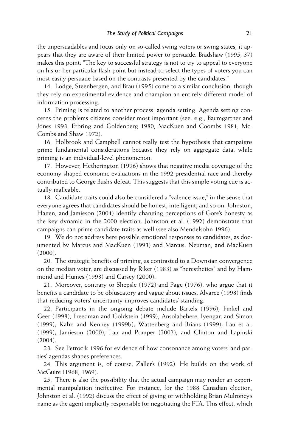the unpersuadables and focus only on so-called swing voters or swing states, it appears that they are aware of their limited power to persuade. Bradshaw (1995, 37) makes this point: "The key to successful strategy is not to try to appeal to everyone on his or her particular flash point but instead to select the types of voters you can most easily persuade based on the contrasts presented by the candidates."

14. Lodge, Steenbergen, and Brau (1995) come to a similar conclusion, though they rely on experimental evidence and champion an entirely different model of information processing.

15. Priming is related to another process, agenda setting. Agenda setting concerns the problems citizens consider most important (see, e.g., Baumgartner and Jones 1993; Erbring and Goldenberg 1980; MacKuen and Coombs 1981; Mc-Combs and Shaw 1972).

16. Holbrook and Campbell cannot really test the hypothesis that campaigns prime fundamental considerations because they rely on aggregate data, while priming is an individual-level phenomenon.

17. However, Hetherington (1996) shows that negative media coverage of the economy shaped economic evaluations in the 1992 presidential race and thereby contributed to George Bush's defeat. This suggests that this simple voting cue is actually malleable.

18. Candidate traits could also be considered a "valence issue," in the sense that everyone agrees that candidates should be honest, intelligent, and so on. Johnston, Hagen, and Jamieson (2004) identify changing perceptions of Gore's honesty as the key dynamic in the 2000 election. Johnston et al. (1992) demonstrate that campaigns can prime candidate traits as well (see also Mendelsohn 1996).

19. We do not address here possible emotional responses to candidates, as documented by Marcus and MacKuen (1993) and Marcus, Neuman, and MacKuen  $(2000)$ .

20. The strategic benefits of priming, as contrasted to a Downsian convergence on the median voter, are discussed by Riker (1983) as "heresthetics" and by Hammond and Humes (1993) and Carsey (2000).

21. Moreover, contrary to Shepsle (1972) and Page (1976), who argue that it benefits a candidate to be obfuscatory and vague about issues, Alvarez (1998) finds that reducing voters' uncertainty improves candidates' standing.

22. Participants in the ongoing debate include Bartels (1996); Finkel and Geer (1998); Freedman and Goldstein (1999); Ansolabehere, Iyengar, and Simon (1999); Kahn and Kenney (1999b); Wattenberg and Brians (1999); Lau et al. (1999); Jamieson (2000); Lau and Pomper (2002); and Clinton and Lapinski  $(2004).$ 

23. See Petrocik 1996 for evidence of how consonance among voters' and parties' agendas shapes preferences.

24. This argument is, of course, Zaller's (1992). He builds on the work of McGuire (1968, 1969).

25. There is also the possibility that the actual campaign may render an experimental manipulation ineffective. For instance, for the 1988 Canadian election, Johnston et al. (1992) discuss the effect of giving or withholding Brian Mulroney's name as the agent implicitly responsible for negotiating the FTA. This effect, which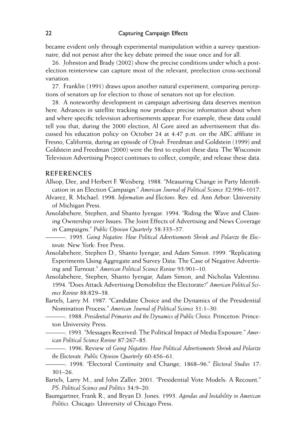became evident only through experimental manipulation within a survey questionnaire, did not persist after the key debate primed the issue once and for all.

26. Johnston and Brady (2002) show the precise conditions under which a postelection reinterview can capture most of the relevant, preelection cross-sectional variation.

27. Franklin (1991) draws upon another natural experiment, comparing perceptions of senators up for election to those of senators not up for election.

28. A noteworthy development in campaign advertising data deserves mention here. Advances in satellite tracking now produce precise information about when and where specific television advertisements appear. For example, these data could tell you that, during the 2000 election, Al Gore aired an advertisement that discussed his education policy on October 24 at  $4.47$  p.m. on the ABC affiliate in Fresno, California, during an episode of *Oprah*. Freedman and Goldstein (1999) and Goldstein and Freedman (2000) were the first to exploit these data. The Wisconsin Television Advertising Project continues to collect, compile, and release these data.

#### **REFERENCES**

- Allsop, Dee, and Herbert F. Weisberg. 1988. "Measuring Change in Party Identification in an Election Campaign." *American Journal of Political Science* 32:996–1017.
- Alvarez, R. Michael. 1998. *Information and Elections.* Rev. ed. Ann Arbor: University of Michigan Press.
- Ansolabehere, Stephen, and Shanto Iyengar. 1994. "Riding the Wave and Claiming Ownership over Issues: The Joint Effects of Advertising and News Coverage in Campaigns." *Public Opinion Quarterly* 58:335–57.

———. 1995. *Going Negative: How Political Advertisements Shrink and Polarize the Electorate.* New York: Free Press.

- Ansolabehere, Stephen D., Shanto Iyengar, and Adam Simon. 1999. "Replicating Experiments Using Aggregate and Survey Data: The Case of Negative Advertising and Turnout." *American Political Science Review* 93:901–10.
- Ansolabehere, Stephen, Shanto Iyengar, Adam Simon, and Nicholas Valentino. 1994. "Does Attack Advertising Demobilize the Electorate?" *American Political Science Review* 88:829–38.
- Bartels, Larry M. 1987. "Candidate Choice and the Dynamics of the Presidential Nomination Process." *American Journal of Political Science* 31:1–30.
- ———. 1988. *Presidential Primaries and the Dynamics of Public Choice.* Princeton: Princeton University Press.
- ———. 1993. "Messages Received: The Political Impact of Media Exposure." *American Political Science Review* 87:267–85.

———. 1996. Review of *Going Negative: How Political Advertisements Shrink and Polarize the Electorate. Public Opinion Quarterly* 60:456–61.

———. 1998. "Electoral Continuity and Change, 1868–96." *Electoral Studies* 17: 301–26.

- Bartels, Larry M., and John Zaller. 2001. "Presidential Vote Models: A Recount." *PS: Political Science and Politics* 34:9–20.
- Baumgartner, Frank R., and Bryan D. Jones. 1993. *Agendas and Instability in American Politics.* Chicago: University of Chicago Press.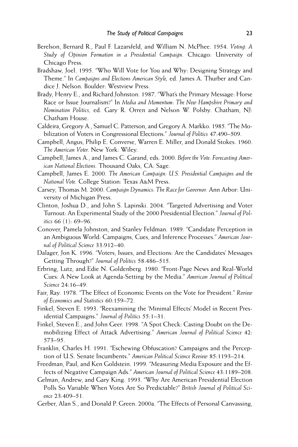- Berelson, Bernard R., Paul F. Lazarsfeld, and William N. McPhee. 1954. *Voting: A Study of Opinion Formation in a Presidential Campaign.* Chicago: University of Chicago Press.
- Bradshaw, Joel. 1995. "Who Will Vote for You and Why: Designing Strategy and Theme." In *Campaigns and Elections American Style,* ed. James A. Thurber and Candice J. Nelson. Boulder: Westview Press.
- Brady, Henry E., and Richard Johnston. 1987. "What's the Primary Message: Horse Race or Issue Journalism?" In *Media and Momentum: The New Hampshire Primary and Nomination Politics,* ed. Gary R. Orren and Nelson W. Polsby. Chatham, NJ: Chatham House.
- Caldeira, Gregory A., Samuel C. Patterson, and Gregory A. Markko. 1985. "The Mobilization of Voters in Congressional Elections." *Journal of Politics* 47:490–509.
- Campbell, Angus, Philip E. Converse, Warren E. Miller, and Donald Stokes. 1960. *The American Voter.* New York: Wiley.
- Campbell, James A., and James C. Garand, eds. 2000. *Before the Vote: Forecasting American National Elections.* Thousand Oaks, CA: Sage.
- Campbell, James E. 2000. *The American Campaign: U.S. Presidential Campaigns and the National Vote.* College Station: Texas A&M Press.
- Carsey, Thomas M. 2000. *Campaign Dynamics: The Race for Governor.* Ann Arbor: University of Michigan Press.
- Clinton, Joshua D., and John S. Lapinski. 2004. "Targeted Advertising and Voter Turnout: An Experimental Study of the 2000 Presidential Election." *Journal of Politics* 66 (1): 69–96.
- Conover, Pamela Johnston, and Stanley Feldman. 1989. "Candidate Perception in an Ambiguous World: Campaigns, Cues, and Inference Processes." *American Journal of Political Science* 33:912–40.
- Dalager, Jon K. 1996. "Voters, Issues, and Elections: Are the Candidates' Messages Getting Through?" *Journal of Politics* 58:486–515.
- Erbring, Lutz, and Edie N. Goldenberg. 1980. "Front-Page News and Real-World Cues: A New Look at Agenda-Setting by the Media." *American Journal of Political Science* 24:16–49.
- Fair, Ray. 1978. "The Effect of Economic Events on the Vote for President." *Review of Economics and Statistics* 60:159–72.
- Finkel, Steven E. 1993. "Reexamining the 'Minimal Effects' Model in Recent Presidential Campaigns." *Journal of Politics* 55:1–31.
- Finkel, Steven E., and John Geer. 1998. "A Spot Check: Casting Doubt on the Demobilizing Effect of Attack Advertising." *American Journal of Political Science* 42: 573–95.
- Franklin, Charles H. 1991. "Eschewing Obfuscation? Campaigns and the Perception of U.S. Senate Incumbents." *American Political Science Review* 85:1193–214.
- Freedman, Paul, and Ken Goldstein. 1999. "Measuring Media Exposure and the Effects of Negative Campaign Ads." *American Journal of Political Science* 43:1189–208.
- Gelman, Andrew, and Gary King. 1993. "Why Are American Presidential Election Polls So Variable When Votes Are So Predictable?" *British Journal of Political Science* 23:409–51.
- Gerber, Alan S., and Donald P. Green. 2000a. "The Effects of Personal Canvassing,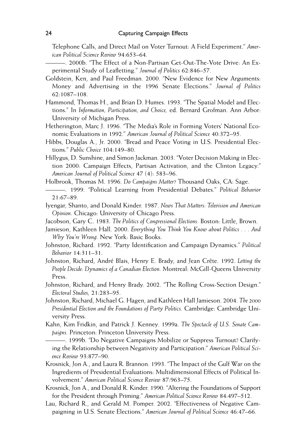Telephone Calls, and Direct Mail on Voter Turnout: A Field Experiment." *American Political Science Review* 94:653–64.

———. 2000b. "The Effect of a Non-Partisan Get-Out-The-Vote Drive: An Experimental Study of LeaBetting." *Journal of Politics* 62:846–57.

- Goldstein, Ken, and Paul Freedman. 2000. "New Evidence for New Arguments: Money and Advertising in the 1996 Senate Elections." *Journal of Politics* 62:1087–108.
- Hammond, Thomas H., and Brian D. Humes. 1993. "The Spatial Model and Elections." In *Information, Participation, and Choice,* ed. Bernard Grofman. Ann Arbor: University of Michigan Press.
- Hetherington, Marc J. 1996. "The Media's Role in Forming Voters' National Economic Evaluations in 1992." *American Journal of Political Science* 40:372–95.
- Hibbs, Douglas A., Jr. 2000. "Bread and Peace Voting in U.S. Presidential Elections." *Public Choice* 104:149–80.
- Hillygus, D. Sunshine, and Simon Jackman. 2003. "Voter Decision Making in Election 2000: Campaign Effects, Partisan Activation, and the Clinton Legacy." *American Journal of Political Science* 47 (4): 583–96.

Holbrook, Thomas M. 1996. *Do Campaigns Matter?* Thousand Oaks, CA: Sage.

———. 1999. "Political Learning from Presidential Debates." *Political Behavior* 21:67–89.

- Iyengar, Shanto, and Donald Kinder. 1987. *News That Matters: Television and American Opinion.* Chicago: University of Chicago Press.
- Jacobson, Gary C. 1983. *The Politics of Congressional Elections.* Boston: Little, Brown.
- Jamieson, Kathleen Hall. 2000. *Everything You Think You Know about Politics . . . And Why You're Wrong.* New York: Basic Books.
- Johnston, Richard. 1992. "Party Identification and Campaign Dynamics." *Political Behavior* 14:311–31.
- Johnston, Richard, André Blais, Henry E. Brady, and Jean Crête. 1992. *Letting the People Decide: Dynamics of a Canadian Election.* Montreal: McGill-Queens University Press.
- Johnston, Richard, and Henry Brady. 2002. "The Rolling Cross-Section Design." *Electoral Studies,* 21:283–95.
- Johnston, Richard, Michael G. Hagen, and Kathleen Hall Jamieson. 2004. *The 2000 Presidential Election and the Foundations of Party Politics.* Cambridge: Cambridge University Press.
- Kahn, Kim Fridkin, and Patrick J. Kenney. 1999a. *The Spectacle of U.S. Senate Campaigns.* Princeton: Princeton University Press.

———. 1999b. "Do Negative Campaigns Mobilize or Suppress Turnout? Clarifying the Relationship between Negativity and Participation." *American Political Science Review* 93:877–90.

- Krosnick, Jon A., and Laura R. Brannon. 1993. "The Impact of the Gulf War on the Ingredients of Presidential Evaluations: Multidimensional Effects of Political Involvement." *American Political Science Review* 87:963–75.
- Krosnick, Jon A., and Donald R. Kinder. 1990. "Altering the Foundations of Support for the President through Priming." *American Political Science Review* 84:497–512.
- Lau, Richard R., and Gerald M. Pomper. 2002. "Effectiveness of Negative Campaigning in U.S. Senate Elections." *American Journal of Political Science* 46:47–66.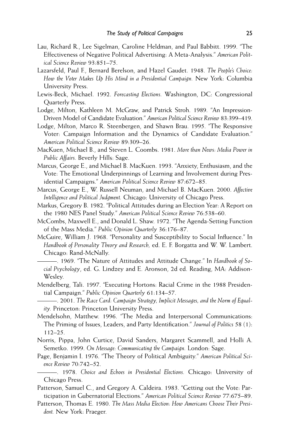- Lau, Richard R., Lee Sigelman, Caroline Heldman, and Paul Babbitt. 1999. "The Effectiveness of Negative Political Advertising: A Meta-Analysis." *American Political Science Review* 93:851–75.
- Lazarsfeld, Paul F., Bernard Berelson, and Hazel Gaudet. 1948. *The People's Choice: How the Voter Makes Up His Mind in a Presidential Campaign.* New York: Columbia University Press.
- Lewis-Beck, Michael. 1992. *Forecasting Elections.* Washington, DC: Congressional Quarterly Press.
- Lodge, Milton, Kathleen M. McGraw, and Patrick Stroh. 1989. "An Impression-Driven Model of Candidate Evaluation." *American Political Science Review* 83:399–419.
- Lodge, Milton, Marco R. Steenbergen, and Shawn Brau. 1995. "The Responsive Voter: Campaign Information and the Dynamics of Candidate Evaluation." *American Political Science Review* 89:309–26.
- MacKuen, Michael B., and Steven L. Coombs. 1981. *More than News: Media Power in Public Affairs.* Beverly Hills: Sage.
- Marcus, George E., and Michael B. MacKuen. 1993. "Anxiety, Enthusiasm, and the Vote: The Emotional Underpinnings of Learning and Involvement during Presidential Campaigns." *American Political Science Review* 87:672–85.
- Marcus, George E., W. Russell Neuman, and Michael B. MacKuen. 2000. *Affective Intelligence and Political Judgment.* Chicago: University of Chicago Press.
- Markus, Gregory B. 1982. "Political Attitudes during an Election Year: A Report on the 1980 NES Panel Study." *American Political Science Review* 76:538–60.
- McCombs, Maxwell E., and Donald L. Shaw. 1972. "The Agenda-Setting Function of the Mass Media." *Public Opinion Quarterly* 36:176–87.
- McGuire, William J. 1968. "Personality and Susceptibility to Social Influence." In *Handbook of Personality Theory and Research,* ed. E. F. Borgatta and W. W. Lambert. Chicago: Rand-McNally.
- ———. 1969. "The Nature of Attitudes and Attitude Change." In *Handbook of Social Psychology*, ed. G. Lindzey and E. Aronson, 2d ed. Reading, MA: Addison-Wesley.
- Mendelberg, Tali. 1997. "Executing Hortons: Racial Crime in the 1988 Presidential Campaign." *Public Opinion Quarterly* 61:134–57.
- ———. 2001. *The Race Card: Campaign Strategy, Implicit Messages, and the Norm of Equality.* Princeton: Princeton University Press.
- Mendelsohn, Matthew. 1996. "The Media and Interpersonal Communications: The Priming of Issues, Leaders, and Party Identification." *Journal of Politics* 58 (1): 112–25.
- Norris, Pippa, John Curtice, David Sanders, Margaret Scammell, and Holli A. Semetko. 1999. *On Message: Communicating the Campaign.* London: Sage.
- Page, Benjamin I. 1976. "The Theory of Political Ambiguity." *American Political Science Review* 70:742–52.
- ———. 1978. *Choice and Echoes in Presidential Elections.* Chicago: University of Chicago Press.
- Patterson, Samuel C., and Gregory A. Caldeira. 1983. "Getting out the Vote: Participation in Gubernatorial Elections." *American Political Science Review* 77:675–89.
- Patterson, Thomas E. 1980. *The Mass Media Election: How Americans Choose Their President.* New York: Praeger.